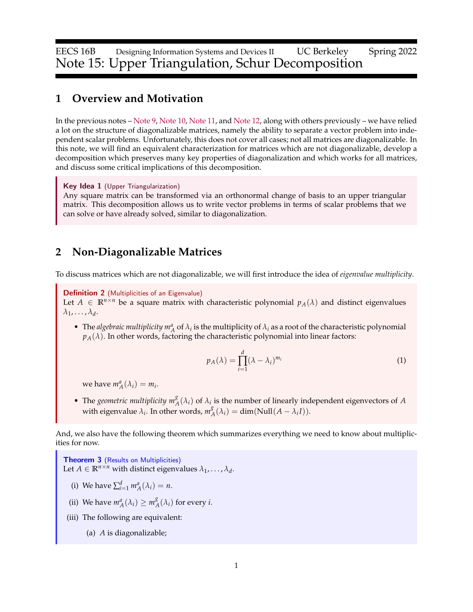EECS 16B Designing Information Systems and Devices II UC Berkeley Spring 2022 Note 15: Upper Triangulation, Schur Decomposition

#### **1 Overview and Motivation**

In the previous notes – [Note 9,](https://www.eecs16b.org/notes/sp22/note09.pdf) [Note 10,](https://www.eecs16b.org/notes/sp22/note10.pdf) [Note 11,](https://www.eecs16b.org/notes/sp22/note11.pdf) and [Note 12,](https://www.eecs16b.org/notes/sp22/note12.pdf) along with others previously – we have relied a lot on the structure of diagonalizable matrices, namely the ability to separate a vector problem into independent scalar problems. Unfortunately, this does not cover all cases; not all matrices are diagonalizable. In this note, we will find an equivalent characterization for matrices which are not diagonalizable, develop a decomposition which preserves many key properties of diagonalization and which works for all matrices, and discuss some critical implications of this decomposition.

Key Idea 1 (Upper Triangularization)

Any square matrix can be transformed via an orthonormal change of basis to an upper triangular matrix. This decomposition allows us to write vector problems in terms of scalar problems that we can solve or have already solved, similar to diagonalization.

# **2 Non-Diagonalizable Matrices**

To discuss matrices which are not diagonalizable, we will first introduce the idea of *eigenvalue multiplicity*.

Definition 2 (Multiplicities of an Eigenvalue)

Let  $A \in \mathbb{R}^{n \times n}$  be a square matrix with characteristic polynomial  $p_A(\lambda)$  and distinct eigenvalues  $\lambda_1, \ldots, \lambda_d$ .

• The *algebraic multiplicity*  $m_A^a$  of  $\lambda_i$  is the multiplicity of  $\lambda_i$  as a root of the characteristic polynomial  $p_A(\lambda)$ . In other words, factoring the characteristic polynomial into linear factors:

$$
p_A(\lambda) = \prod_{i=1}^d (\lambda - \lambda_i)^{m_i}
$$
 (1)

we have  $m_A^a(\lambda_i) = m_i$ .

• The *geometric multiplicity*  $m_A^g(\lambda_i)$  of  $\lambda_i$  is the number of linearly independent eigenvectors of *A* with eigenvalue  $\lambda_i$ . In other words,  $m_\lambda^g$  $\chi_A^g(\lambda_i) = \dim(\text{Null}(A - \lambda_i I)).$ 

And, we also have the following theorem which summarizes everything we need to know about multiplicities for now.

**Theorem 3** (Results on Multiplicities) Let  $A \in \mathbb{R}^{n \times n}$  with distinct eigenvalues  $\lambda_1, \ldots, \lambda_d$ .

- (i) We have  $\sum_{i=1}^{d} m_A^a(\lambda_i) = n$ .
- (ii) We have  $m_A^a(\lambda_i) \geq m_A^g$  $\chi_A^g(\lambda_i)$  for every *i*.
- (iii) The following are equivalent:
	- (a) *A* is diagonalizable;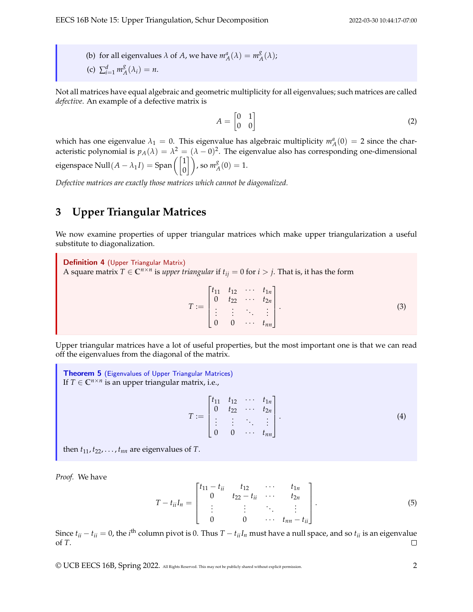(b) for all eigenvalues  $\lambda$  of  $A$ , we have  $m_A^a(\lambda) = m_A^g$  $_{A}^{8}(\lambda);$ (c)  $\sum_{i=1}^{d} m_A^g$  $_{A}^{8}(\lambda_i)=n.$ 

Not all matrices have equal algebraic and geometric multiplicity for all eigenvalues; such matrices are called *defective*. An example of a defective matrix is

$$
A = \begin{bmatrix} 0 & 1 \\ 0 & 0 \end{bmatrix} \tag{2}
$$

which has one eigenvalue  $\lambda_1 = 0$ . This eigenvalue has algebraic multiplicity  $m_A^a(0) = 2$  since the characteristic polynomial is  $p_A(\lambda) = \lambda^2 = (\lambda - 0)^2$ . The eigenvalue also has corresponding one-dimensional eigenspace  $\text{Null}(A - \lambda_1 I) = \text{Span}\left(\begin{bmatrix} 1 \ 0 \end{bmatrix}\right)$ , so  $m_A^g$  $_{A}^{8}(0)=1.$ 

*Defective matrices are exactly those matrices which cannot be diagonalized.*

## **3 Upper Triangular Matrices**

We now examine properties of upper triangular matrices which make upper triangularization a useful substitute to diagonalization.

Definition 4 (Upper Triangular Matrix) A square matrix  $T \in \mathbb{C}^{n \times n}$  is *upper triangular* if  $t_{ij} = 0$  for  $i > j$ . That is, it has the form

$$
T := \begin{bmatrix} t_{11} & t_{12} & \cdots & t_{1n} \\ 0 & t_{22} & \cdots & t_{2n} \\ \vdots & \vdots & \ddots & \vdots \\ 0 & 0 & \cdots & t_{nn} \end{bmatrix} . \tag{3}
$$

Upper triangular matrices have a lot of useful properties, but the most important one is that we can read off the eigenvalues from the diagonal of the matrix.

Theorem 5 (Eigenvalues of Upper Triangular Matrices) If  $T \in \mathbb{C}^{n \times n}$  is an upper triangular matrix, i.e.,

$$
T := \begin{bmatrix} t_{11} & t_{12} & \cdots & t_{1n} \\ 0 & t_{22} & \cdots & t_{2n} \\ \vdots & \vdots & \ddots & \vdots \\ 0 & 0 & \cdots & t_{nn} \end{bmatrix} . \tag{4}
$$

then  $t_{11}$ ,  $t_{22}$ , . . . ,  $t_{nn}$  are eigenvalues of *T*.

*Proof.* We have

$$
T - t_{ii}I_n = \begin{bmatrix} t_{11} - t_{ii} & t_{12} & \cdots & t_{1n} \\ 0 & t_{22} - t_{ii} & \cdots & t_{2n} \\ \vdots & \vdots & \ddots & \vdots \\ 0 & 0 & \cdots & t_{nn} - t_{ii} \end{bmatrix} .
$$
 (5)

Since  $t_{ii}-t_{ii}=0$ , the *i*<sup>th</sup> column pivot is 0. Thus  $T-t_{ii}I_n$  must have a null space, and so  $t_{ii}$  is an eigenvalue of *T*.

© UCB EECS 16B, Spring 2022. All Rights Reserved. This may not be publicly shared without explicit permission. 2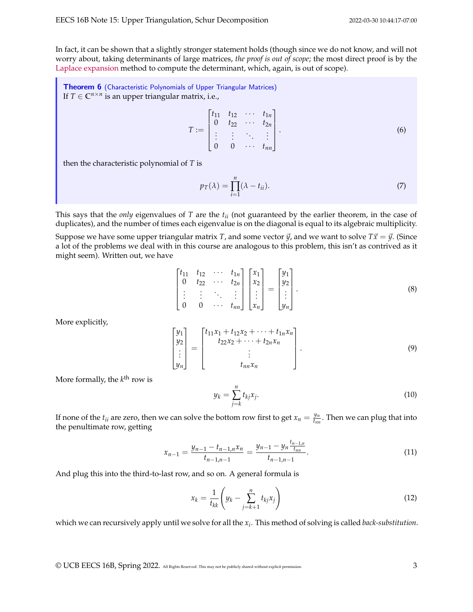In fact, it can be shown that a slightly stronger statement holds (though since we do not know, and will not worry about, taking determinants of large matrices, *the proof is out of scope*; the most direct proof is by the [Laplace expansion](https://en.wikipedia.org/wiki/Laplace_expansion) method to compute the determinant, which, again, is out of scope).

<span id="page-2-0"></span>Theorem 6 (Characteristic Polynomials of Upper Triangular Matrices) If  $T \in \mathbb{C}^{n \times n}$  is an upper triangular matrix, i.e.,

$$
T := \begin{bmatrix} t_{11} & t_{12} & \cdots & t_{1n} \\ 0 & t_{22} & \cdots & t_{2n} \\ \vdots & \vdots & \ddots & \vdots \\ 0 & 0 & \cdots & t_{nn} \end{bmatrix} . \tag{6}
$$

then the characteristic polynomial of *T* is

$$
p_T(\lambda) = \prod_{i=1}^n (\lambda - t_{ii}).
$$
\n(7)

This says that the *only* eigenvalues of *T* are the *tii* (not guaranteed by the earlier theorem, in the case of duplicates), and the number of times each eigenvalue is on the diagonal is equal to its algebraic multiplicity.

Suppose we have some upper triangular matrix *T*, and some vector  $\vec{y}$ , and we want to solve  $T\vec{x} = \vec{y}$ . (Since a lot of the problems we deal with in this course are analogous to this problem, this isn't as contrived as it might seem). Written out, we have

$$
\begin{bmatrix} t_{11} & t_{12} & \cdots & t_{1n} \\ 0 & t_{22} & \cdots & t_{2n} \\ \vdots & \vdots & \ddots & \vdots \\ 0 & 0 & \cdots & t_{nn} \end{bmatrix} \begin{bmatrix} x_1 \\ x_2 \\ \vdots \\ x_n \end{bmatrix} = \begin{bmatrix} y_1 \\ y_2 \\ \vdots \\ y_n \end{bmatrix}.
$$
 (8)

More explicitly,

$$
\begin{bmatrix} y_1 \\ y_2 \\ \vdots \\ y_n \end{bmatrix} = \begin{bmatrix} t_{11}x_1 + t_{12}x_2 + \dots + t_{1n}x_n \\ t_{22}x_2 + \dots + t_{2n}x_n \\ \vdots \\ t_{nn}x_n \end{bmatrix} . \tag{9}
$$

More formally, the *k* th row is

$$
y_k = \sum_{j=k}^n t_{kj} x_j.
$$
 (10)

If none of the  $t_{ii}$  are zero, then we can solve the bottom row first to get  $x_n = \frac{y_n}{t_m}$  $\frac{yn}{t_{nn}}$ . Then we can plug that into the penultimate row, getting

$$
x_{n-1} = \frac{y_{n-1} - t_{n-1,n}x_n}{t_{n-1,n-1}} = \frac{y_{n-1} - y_n \frac{t_{n-1,n}}{t_{n,n}}}{t_{n-1,n-1}}.
$$
\n
$$
(11)
$$

And plug this into the third-to-last row, and so on. A general formula is

$$
x_k = \frac{1}{t_{kk}} \left( y_k - \sum_{j=k+1}^n t_{kj} x_j \right) \tag{12}
$$

which we can recursively apply until we solve for all the *x<sup>i</sup>* . This method of solving is called *back-substitution*.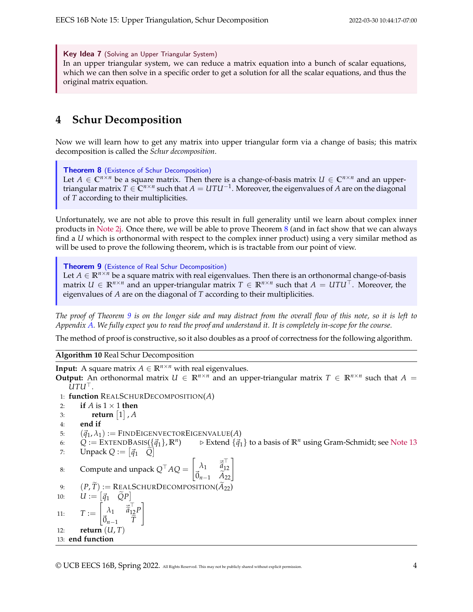Key Idea 7 (Solving an Upper Triangular System) In an upper triangular system, we can reduce a matrix equation into a bunch of scalar equations, which we can then solve in a specific order to get a solution for all the scalar equations, and thus the original matrix equation.

# <span id="page-3-3"></span>**4 Schur Decomposition**

Now we will learn how to get any matrix into upper triangular form via a change of basis; this matrix decomposition is called the *Schur decomposition*.

<span id="page-3-0"></span>Theorem 8 (Existence of Schur Decomposition) Let  $A \in \mathbb{C}^{n \times n}$  be a square matrix. Then there is a change-of-basis matrix  $U \in \mathbb{C}^{n \times n}$  and an uppertriangular matrix  $T \in \mathbb{C}^{n \times n}$  such that  $A = U T U^{-1}$ . Moreover, the eigenvalues of  $A$  are on the diagonal of *T* according to their multiplicities.

Unfortunately, we are not able to prove this result in full generality until we learn about complex inner products in [Note 2j.](https://www.eecs16b.org/notes/sp22/note2j.pdf) Once there, we will be able to prove Theorem [8](#page-3-0) (and in fact show that we can always find a *U* which is orthonormal with respect to the complex inner product) using a very similar method as will be used to prove the following theorem, which is is tractable from our point of view.

<span id="page-3-1"></span>Theorem 9 (Existence of Real Schur Decomposition) Let  $A \in \mathbb{R}^{n \times n}$  be a square matrix with real eigenvalues. Then there is an orthonormal change-of-basis matrix *U* ∈  $\mathbb{R}^{n \times n}$  and an upper-triangular matrix *T* ∈  $\mathbb{R}^{n \times n}$  such that *A* = *UTU*<sup>T</sup>. Moreover, the eigenvalues of *A* are on the diagonal of *T* according to their multiplicities.

*The proof of Theorem [9](#page-3-1) is on the longer side and may distract from the overall flow of this note, so it is left to Appendix [A.](#page-7-0) We fully expect you to read the proof and understand it. It is completely in-scope for the course.*

The method of proof is constructive, so it also doubles as a proof of correctness for the following algorithm.

<span id="page-3-2"></span>**Algorithm 10** Real Schur Decomposition

**Input:** A square matrix  $A \in \mathbb{R}^{n \times n}$  with real eigenvalues. **Output:** An orthonormal matrix  $U \in \mathbb{R}^{n \times n}$  and an upper-triangular matrix  $T \in \mathbb{R}^{n \times n}$  such that  $A =$ *UTU*⊤. 1: **function** REALSCHURDECOMPOSITION(*A*) 2: **if**  $A$  is  $1 \times 1$  **then** 3: **return**  $\begin{bmatrix} 1 \end{bmatrix}$  , A 4: **end if** 5:  $(\vec{q}_1, \lambda_1) :=$  FINDEIGENVECTOREIGENVALUE(A) 6:  $Q := \text{EXT}\text{ENDBASIS}(\{\vec{q}_1\}, \mathbb{R}^n)$  $\triangleright$  Extend  $\{\vec{q}_1\}$  to a basis of  $\mathbb{R}^n$  using Gram-Schmidt; see [Note 13](https://www.eecs16b.org/notes/sp22/note13.pdf) 7: **Unpack**  $Q := [\vec{q}_1 \quad \tilde{Q}]$ 8: Compute and unpack  $Q^{\top}AQ = \begin{bmatrix} \lambda_1 & \vec{a}^{\top} \\ \vec{a} & \vec{a}^{\top} \end{bmatrix}$ 12  $\begin{bmatrix} \lambda_1 & \vec{\tilde{a}}_{12}^{\top} \\ \vec{0}_{n-1} & \widetilde{A}_{22} \end{bmatrix}$ 9:  $(P, \tilde{T}) := \text{RealSchurDecomposition}(\tilde{A}_{22})$ <br>10:  $U := [\vec{a}_1 \quad \tilde{O}P]$ 10:  $U := \begin{bmatrix} \vec{q}_1 & \widetilde{Q}P \end{bmatrix}$ 11:  $T :=$  $\begin{bmatrix} \lambda_1 & \vec{\tilde{a}}_{12}^{\top} P \\ \vec{\tilde{a}} & \tilde{\tilde{\tau}} \end{bmatrix}$  $\vec{0}_{n-1}$  *T* 1 12: **return** (*U*, *T*) 13: **end function**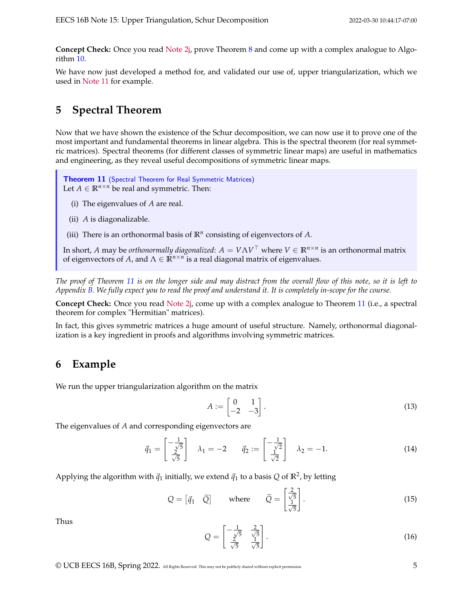**Concept Check:** Once you read [Note 2j,](https://www.eecs16b.org/notes/sp22/note2j.pdf) prove Theorem [8](#page-3-0) and come up with a complex analogue to Algorithm [10.](#page-3-2)

We have now just developed a method for, and validated our use of, upper triangularization, which we used in [Note 11](https://www.eecs16b.org/notes/sp22/note12.pdf) for example.

## **5 Spectral Theorem**

Now that we have shown the existence of the Schur decomposition, we can now use it to prove one of the most important and fundamental theorems in linear algebra. This is the spectral theorem (for real symmetric matrices). Spectral theorems (for different classes of symmetric linear maps) are useful in mathematics and engineering, as they reveal useful decompositions of symmetric linear maps.

<span id="page-4-0"></span>**Theorem 11** (Spectral Theorem for Real Symmetric Matrices) Let  $A \in \mathbb{R}^{n \times n}$  be real and symmetric. Then:

- (i) The eigenvalues of *A* are real.
- (ii) *A* is diagonalizable.

(iii) There is an orthonormal basis of  $\mathbb{R}^n$  consisting of eigenvectors of  $A$ .

In short,  $A$  may be *orthonormally diagonalized*:  $A = V \Lambda V^\top$  where  $V \in \mathbb{R}^{n \times n}$  is an orthonormal matrix of eigenvectors of *A*, and Λ ∈ **R***n*×*<sup>n</sup>* is a real diagonal matrix of eigenvalues.

*The proof of Theorem [11](#page-4-0) is on the longer side and may distract from the overall flow of this note, so it is left to Appendix [B.](#page-10-0) We fully expect you to read the proof and understand it. It is completely in-scope for the course.*

**Concept Check:** Once you read [Note 2j,](https://www.eecs16b.org/notes/sp22/note2j.pdf) come up with a complex analogue to Theorem [11](#page-4-0) (i.e., a spectral theorem for complex "Hermitian" matrices).

In fact, this gives symmetric matrices a huge amount of useful structure. Namely, orthonormal diagonalization is a key ingredient in proofs and algorithms involving symmetric matrices.

#### **6 Example**

We run the upper triangularization algorithm on the matrix

$$
A := \begin{bmatrix} 0 & 1 \\ -2 & -3 \end{bmatrix}.
$$
 (13)

The eigenvalues of *A* and corresponding eigenvectors are

$$
\vec{q}_1 = \begin{bmatrix} -\frac{1}{\sqrt{5}} \\ \frac{2}{\sqrt{5}} \end{bmatrix} \quad \lambda_1 = -2 \qquad \vec{q}_2 := \begin{bmatrix} -\frac{1}{\sqrt{2}} \\ \frac{1}{\sqrt{2}} \end{bmatrix} \quad \lambda_2 = -1. \tag{14}
$$

Applying the algorithm with  $\vec{q}_1$  initially, we extend  $\vec{q}_1$  to a basis  $Q$  of  $\mathbb{R}^2$ , by letting

$$
Q = \begin{bmatrix} \vec{q}_1 & \tilde{Q} \end{bmatrix} \quad \text{where} \quad \tilde{Q} = \begin{bmatrix} \frac{2}{\sqrt{5}} \\ \frac{1}{\sqrt{5}} \end{bmatrix} . \tag{15}
$$

Thus

$$
Q = \begin{bmatrix} -\frac{1}{\sqrt{5}} & \frac{2}{\sqrt{5}} \\ \frac{2}{\sqrt{5}} & \frac{1}{\sqrt{5}} \end{bmatrix}.
$$
 (16)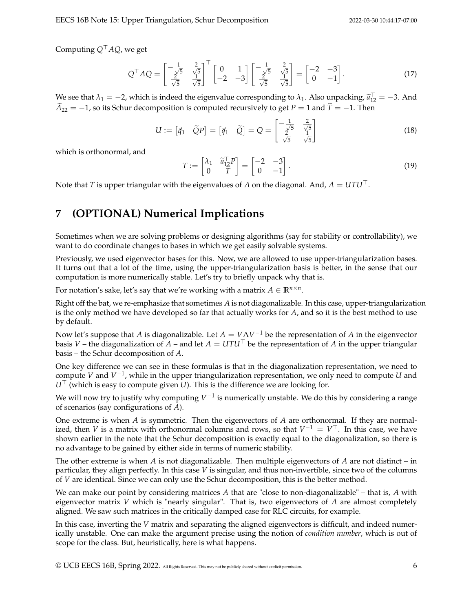Computing *Q*⊤*AQ*, we get

$$
Q^{\top}AQ = \begin{bmatrix} -\frac{1}{\sqrt{5}} & \frac{2}{\sqrt{5}} \\ \frac{2}{\sqrt{5}} & \frac{1}{\sqrt{5}} \end{bmatrix}^{\top} \begin{bmatrix} 0 & 1 \\ -2 & -3 \end{bmatrix} \begin{bmatrix} -\frac{1}{\sqrt{5}} & \frac{2}{\sqrt{5}} \\ \frac{2}{\sqrt{5}} & \frac{1}{\sqrt{5}} \end{bmatrix} = \begin{bmatrix} -2 & -3 \\ 0 & -1 \end{bmatrix}.
$$
 (17)

We see that  $\lambda_1 = -2$ , which is indeed the eigenvalue corresponding to  $\lambda_1$ . Also unpacking,  $\tilde{a}_{12}^T = -3$ . And  $A_{22} = -1$ , so its Schur decomposition is computed recursively to get *P* = 1 and  $\tilde{T} = -1$ . Then

$$
U := \begin{bmatrix} \vec{q}_1 & \widetilde{Q}P \end{bmatrix} = \begin{bmatrix} \vec{q}_1 & \widetilde{Q} \end{bmatrix} = Q = \begin{bmatrix} -\frac{1}{\sqrt{5}} & \frac{2}{\sqrt{5}} \\ \frac{2}{\sqrt{5}} & \frac{1}{\sqrt{5}} \end{bmatrix}
$$
(18)

which is orthonormal, and

$$
T := \begin{bmatrix} \lambda_1 & \widetilde{a}_{12}^\top P \\ 0 & \widetilde{T} \end{bmatrix} = \begin{bmatrix} -2 & -3 \\ 0 & -1 \end{bmatrix} . \tag{19}
$$

Note that *T* is upper triangular with the eigenvalues of *A* on the diagonal. And,  $A = UTU^\top$ .

## **7 (OPTIONAL) Numerical Implications**

Sometimes when we are solving problems or designing algorithms (say for stability or controllability), we want to do coordinate changes to bases in which we get easily solvable systems.

Previously, we used eigenvector bases for this. Now, we are allowed to use upper-triangularization bases. It turns out that a lot of the time, using the upper-triangularization basis is better, in the sense that our computation is more numerically stable. Let's try to briefly unpack why that is.

For notation's sake, let's say that we're working with a matrix  $A \in \mathbb{R}^{n \times n}$ .

Right off the bat, we re-emphasize that sometimes *A* is not diagonalizable. In this case, upper-triangularization is the only method we have developed so far that actually works for *A*, and so it is the best method to use by default.

Now let's suppose that *A* is diagonalizable. Let *A* = *V*Λ*V* <sup>−</sup><sup>1</sup> be the representation of *A* in the eigenvector basis *V* – the diagonalization of  $A$  – and let  $A = U T U^{\top}$  be the representation of  $A$  in the upper triangular basis – the Schur decomposition of *A*.

One key difference we can see in these formulas is that in the diagonalization representation, we need to compute *V* and *V* −1 , while in the upper triangularization representation, we only need to compute *U* and *U* <sup>∣</sup> (which is easy to compute given *U*). This is the difference we are looking for.

We will now try to justify why computing  $V^{-1}$  is numerically unstable. We do this by considering a range of scenarios (say configurations of *A*).

One extreme is when *A* is symmetric. Then the eigenvectors of *A* are orthonormal. If they are normalized, then *V* is a matrix with orthonormal columns and rows, so that  $V^{-1} = V^{\top}$ . In this case, we have shown earlier in the note that the Schur decomposition is exactly equal to the diagonalization, so there is no advantage to be gained by either side in terms of numeric stability.

The other extreme is when *A* is not diagonalizable. Then multiple eigenvectors of *A* are not distinct – in particular, they align perfectly. In this case *V* is singular, and thus non-invertible, since two of the columns of *V* are identical. Since we can only use the Schur decomposition, this is the better method.

We can make our point by considering matrices *A* that are "close to non-diagonalizable" – that is, *A* with eigenvector matrix *V* which is "nearly singular". That is, two eigenvectors of *A* are almost completely aligned. We saw such matrices in the critically damped case for RLC circuits, for example.

In this case, inverting the *V* matrix and separating the aligned eigenvectors is difficult, and indeed numerically unstable. One can make the argument precise using the notion of *condition number*, which is out of scope for the class. But, heuristically, here is what happens.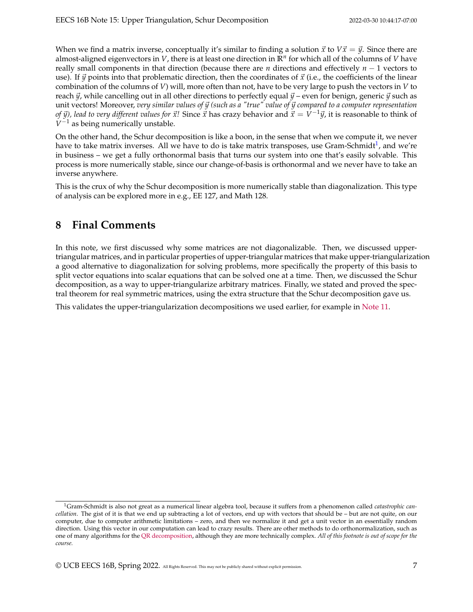When we find a matrix inverse, conceptually it's similar to finding a solution  $\vec{x}$  to  $V\vec{x} = \vec{y}$ . Since there are almost-aligned eigenvectors in *V*, there is at least one direction in **R***<sup>n</sup>* for which all of the columns of *V* have really small components in that direction (because there are *n* directions and effectively *n* − 1 vectors to use). If  $\vec{y}$  points into that problematic direction, then the coordinates of  $\vec{x}$  (i.e., the coefficients of the linear combination of the columns of *V*) will, more often than not, have to be very large to push the vectors in *V* to reach  $\vec{y}$ , while cancelling out in all other directions to perfectly equal  $\vec{y}$  – even for benign, generic  $\vec{y}$  such as unit vectors! Moreover, *very similar values of* ⃗*y (such as a "true" value of* ⃗*y compared to a computer representation of ÿ), lead to very different values for*  $\vec{x}$ *! Since*  $\vec{x}$  *has crazy behavior and*  $\vec{x} = V^{-1}\vec{y}$ *, it is reasonable to think of*  $V^{-1}$  as being numerically unstable.

On the other hand, the Schur decomposition is like a boon, in the sense that when we compute it, we never have to take matrix inverses. All we have to do is take matrix transposes, use Gram-Schmidt<sup>[1](#page-6-0)</sup>, and we're in business – we get a fully orthonormal basis that turns our system into one that's easily solvable. This process is more numerically stable, since our change-of-basis is orthonormal and we never have to take an inverse anywhere.

This is the crux of why the Schur decomposition is more numerically stable than diagonalization. This type of analysis can be explored more in e.g., EE 127, and Math 128.

## **8 Final Comments**

In this note, we first discussed why some matrices are not diagonalizable. Then, we discussed uppertriangular matrices, and in particular properties of upper-triangular matrices that make upper-triangularization a good alternative to diagonalization for solving problems, more specifically the property of this basis to split vector equations into scalar equations that can be solved one at a time. Then, we discussed the Schur decomposition, as a way to upper-triangularize arbitrary matrices. Finally, we stated and proved the spectral theorem for real symmetric matrices, using the extra structure that the Schur decomposition gave us.

This validates the upper-triangularization decompositions we used earlier, for example in [Note 11.](https://www.eecs16b.org/notes/sp22/note11.pdf)

<span id="page-6-0"></span><sup>1</sup>Gram-Schmidt is also not great as a numerical linear algebra tool, because it suffers from a phenomenon called *catastrophic cancellation*. The gist of it is that we end up subtracting a lot of vectors, end up with vectors that should be – but are not quite, on our computer, due to computer arithmetic limitations – zero, and then we normalize it and get a unit vector in an essentially random direction. Using this vector in our computation can lead to crazy results. There are other methods to do orthonormalization, such as one of many algorithms for the [QR decomposition,](https://en.wikipedia.org/wiki/QR_decomposition) although they are more technically complex. *All of this footnote is out of scope for the course.*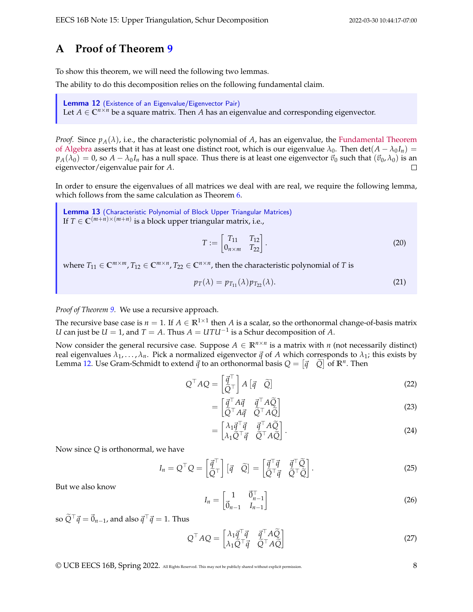#### <span id="page-7-0"></span>**A Proof of Theorem [9](#page-3-1)**

To show this theorem, we will need the following two lemmas.

The ability to do this decomposition relies on the following fundamental claim.

<span id="page-7-1"></span>Lemma 12 (Existence of an Eigenvalue/Eigenvector Pair)

Let  $A \in \mathbb{C}^{n \times n}$  be a square matrix. Then A has an eigenvalue and corresponding eigenvector.

*Proof.* Since  $p_A(\lambda)$ , i.e., the characteristic polynomial of *A*, has an eigenvalue, the [Fundamental Theorem](https://en.wikipedia.org/wiki/Fundamental_theorem_of_algebra) [of Algebra](https://en.wikipedia.org/wiki/Fundamental_theorem_of_algebra) asserts that it has at least one distinct root, which is our eigenvalue  $\lambda_0$ . Then det( $A - \lambda_0 I_n$ ) =  $p_A(\lambda_0) = 0$ , so  $A - \lambda_0 I_n$  has a null space. Thus there is at least one eigenvector  $\vec{v}_0$  such that  $(\vec{v}_0, \lambda_0)$  is an eigenvector/eigenvalue pair for *A*.  $\Box$ 

In order to ensure the eigenvalues of all matrices we deal with are real, we require the following lemma, which follows from the same calculation as Theorem [6.](#page-2-0)

<span id="page-7-2"></span>Lemma 13 (Characteristic Polynomial of Block Upper Triangular Matrices) If  $T \in \mathbb{C}^{(m+n)\times (m+n)}$  is a block upper triangular matrix, i.e.,

$$
T := \begin{bmatrix} T_{11} & T_{12} \\ 0_{n \times m} & T_{22} \end{bmatrix} .
$$
 (20)

where  $T_{11} \in \mathbb{C}^{m \times m}$ ,  $T_{12} \in \mathbb{C}^{m \times n}$ ,  $T_{22} \in \mathbb{C}^{n \times n}$ , then the characteristic polynomial of *T* is

$$
p_T(\lambda) = p_{T_{11}}(\lambda) p_{T_{22}}(\lambda). \tag{21}
$$

*Proof of Theorem [9.](#page-3-1)* We use a recursive approach.

The recursive base case is  $n = 1$ . If  $A \in \mathbb{R}^{1 \times 1}$  then  $A$  is a scalar, so the orthonormal change-of-basis matrix *U* can just be *U* = 1, and *T* = *A*. Thus  $A = U T U^{-1}$  is a Schur decomposition of *A*.

Now consider the general recursive case. Suppose  $A \in \mathbb{R}^{n \times n}$  is a matrix with *n* (not necessarily distinct) real eigenvalues  $\lambda_1, \ldots, \lambda_n$ . Pick a normalized eigenvector  $\vec{q}$  of  $A$  which corresponds to  $\lambda_1$ ; this exists by Lemma [12.](#page-7-1) Use Gram-Schmidt to extend  $\vec{q}$  to an orthonormal basis  $Q = [\vec{q} \quad \widetilde{Q}]$  of  $\mathbb{R}^n$ . Then

$$
Q^{\top} A Q = \begin{bmatrix} \vec{q}^{\top} \\ \vec{Q}^{\top} \end{bmatrix} A \begin{bmatrix} \vec{q} & \tilde{Q} \end{bmatrix}
$$
 (22)

$$
= \begin{bmatrix} \vec{q}^\top A \vec{q} & \vec{q}^\top A \vec{Q} \\ \tilde{Q}^\top A \vec{q} & \tilde{Q}^\top A \vec{Q} \end{bmatrix}
$$
(23)

$$
= \begin{bmatrix} \lambda_1 \vec{q}^\top \vec{q} & \vec{q}^\top A \widetilde{Q} \\ \lambda_1 \widetilde{Q}^\top \vec{q} & \widetilde{Q}^\top A \widetilde{Q} \end{bmatrix} . \tag{24}
$$

Now since *Q* is orthonormal, we have

$$
I_n = Q^{\top} Q = \begin{bmatrix} \vec{q}^{\top} \\ \tilde{Q}^{\top} \end{bmatrix} [\vec{q} \quad \tilde{Q}] = \begin{bmatrix} \vec{q}^{\top} \vec{q} & \vec{q}^{\top} \tilde{Q} \\ \tilde{Q}^{\top} \vec{q} & \tilde{Q}^{\top} \tilde{Q} \end{bmatrix}.
$$
 (25)

But we also know

$$
I_n = \begin{bmatrix} 1 & \vec{0}_{n-1}^{\top} \\ \vec{0}_{n-1} & I_{n-1} \end{bmatrix}
$$
 (26)

so  $\widetilde{Q}^{\top} \vec{q} = \vec{0}_{n-1}$ , and also  $\vec{q}^{\top} \vec{q} = 1$ . Thus

$$
Q^{\top}AQ = \begin{bmatrix} \lambda_1 \vec{q}^{\top} \vec{q} & \vec{q}^{\top} A \tilde{Q} \\ \lambda_1 \tilde{Q}^{\top} \vec{q} & \tilde{Q}^{\top} A \tilde{Q} \end{bmatrix}
$$
 (27)

© UCB EECS 16B, Spring 2022. All Rights Reserved. This may not be publicly shared without explicit permission. 8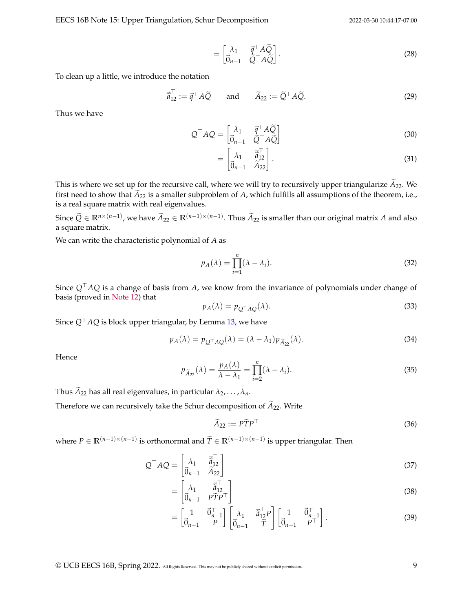EECS 16B Note 15: Upper Triangulation, Schur Decomposition 2022-03-30 10:44:17-07:00

$$
= \begin{bmatrix} \lambda_1 & \vec{q}^\top A \tilde{Q} \\ \vec{0}_{n-1} & \vec{Q}^\top A \tilde{Q} \end{bmatrix} . \tag{28}
$$

To clean up a little, we introduce the notation

$$
\vec{\tilde{a}}_{12}^{\top} := \vec{q}^{\top} A \tilde{Q} \quad \text{and} \quad \tilde{A}_{22} := \tilde{Q}^{\top} A \tilde{Q}. \tag{29}
$$

Thus we have

$$
Q^{\top} A Q = \begin{bmatrix} \lambda_1 & \vec{q}^{\top} A \tilde{Q} \\ \vec{0}_{n-1} & \vec{Q}^{\top} A \tilde{Q} \end{bmatrix}
$$
 (30)

$$
= \begin{bmatrix} \lambda_1 & \vec{\tilde{a}}_{12}^\top \\ \vec{0}_{n-1} & \vec{A}_{22} \end{bmatrix} . \tag{31}
$$

This is where we set up for the recursive call, where we will try to recursively upper triangularize  $A_{22}$ . We first need to show that  $\widetilde{A}_{22}$  is a smaller subproblem of *A*, which fulfills all assumptions of the theorem, i.e., is a real square matrix with real eigenvalues.

Since  $\widetilde{Q} \in \mathbb{R}^{n \times (n-1)}$ , we have  $\widetilde{A}_{22} \in \mathbb{R}^{(n-1)\times (n-1)}$ . Thus  $\widetilde{A}_{22}$  is smaller than our original matrix *A* and also a square matrix.

We can write the characteristic polynomial of *A* as

$$
p_A(\lambda) = \prod_{i=1}^n (\lambda - \lambda_i). \tag{32}
$$

Since *Q*⊤*AQ* is a change of basis from *A*, we know from the invariance of polynomials under change of basis (proved in [Note 12\)](https://www.eecs16b.org/notes/sp22/note12.pdf) that

$$
p_A(\lambda) = p_{Q^\top A Q}(\lambda). \tag{33}
$$

Since *Q*⊤*AQ* is block upper triangular, by Lemma [13,](#page-7-2) we have

$$
p_A(\lambda) = p_{Q^\top A Q}(\lambda) = (\lambda - \lambda_1) p_{\widetilde{A}_{22}}(\lambda).
$$
\n(34)

Hence

$$
p_{\tilde{A}_{22}}(\lambda) = \frac{p_A(\lambda)}{\lambda - \lambda_1} = \prod_{i=2}^n (\lambda - \lambda_i).
$$
\n(35)

Thus  $\widetilde{A}_{22}$  has all real eigenvalues, in particular  $\lambda_2, \ldots, \lambda_n$ .

Therefore we can recursively take the Schur decomposition of  $\widetilde{A}_{22}$ . Write

$$
\widetilde{A}_{22} := P \widetilde{T} P^{\top}
$$
\n(36)

where  $P \in \mathbb{R}^{(n-1)\times(n-1)}$  is orthonormal and  $\widetilde{T} \in \mathbb{R}^{(n-1)\times(n-1)}$  is upper triangular. Then

$$
Q^{\top} A Q = \begin{bmatrix} \lambda_1 & \vec{\tilde{a}}_{12}^{\top} \\ \vec{0}_{n-1} & \vec{\tilde{A}}_{22} \end{bmatrix}
$$
 (37)

$$
= \begin{bmatrix} \lambda_1 & \vec{\tilde{a}}_{12}^\top \\ \vec{0}_{n-1} & P\tilde{T}P^\top \end{bmatrix} \tag{38}
$$

$$
= \begin{bmatrix} 1 & \vec{0}^\top_{n-1} \\ \vec{0}_{n-1} & P \end{bmatrix} \begin{bmatrix} \lambda_1 & \vec{\tilde{a}}_{12}^\top P \\ \vec{0}_{n-1} & \vec{\tilde{T}} \end{bmatrix} \begin{bmatrix} 1 & \vec{0}^\top_{n-1} \\ \vec{0}_{n-1} & P^\top \end{bmatrix} . \tag{39}
$$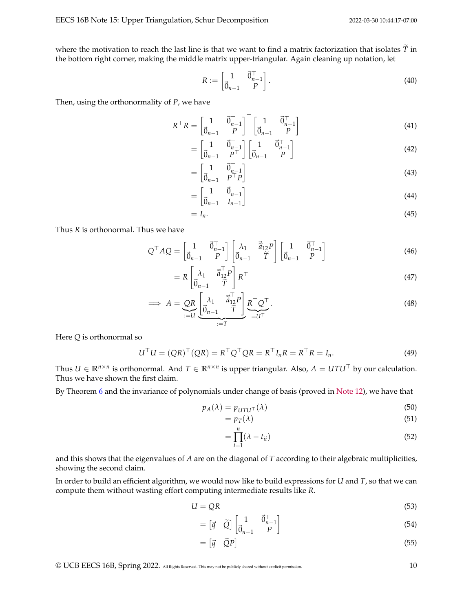where the motivation to reach the last line is that we want to find a matrix factorization that isolates  $\tilde{T}$  in the bottom right corner, making the middle matrix upper-triangular. Again cleaning up notation, let

$$
R := \begin{bmatrix} 1 & \vec{0} \, \vec{r}_{n-1} \\ \vec{0}_{n-1} & P \end{bmatrix} . \tag{40}
$$

Then, using the orthonormality of *P*, we have

$$
R^{\top}R = \begin{bmatrix} 1 & \vec{0}^{\top}_{n-1} \\ \vec{0}_{n-1} & P \end{bmatrix}^{\top} \begin{bmatrix} 1 & \vec{0}^{\top}_{n-1} \\ \vec{0}_{n-1} & P \end{bmatrix}
$$
(41)

$$
= \begin{bmatrix} 1 & \vec{0}^{\top}_{n-1} \\ \vec{0}_{n-1} & P^{\top} \end{bmatrix} \begin{bmatrix} 1 & \vec{0}^{\top}_{n-1} \\ \vec{0}_{n-1} & P \end{bmatrix}
$$
(42)

$$
= \begin{bmatrix} 1 & \vec{0}^{\top}_{n-1} \\ \vec{0}_{n-1} & P^{\top}P \end{bmatrix} \tag{43}
$$

$$
= \begin{bmatrix} 1 & \vec{0} \, \vec{0} \\ \vec{0}_{n-1} & I_{n-1} \end{bmatrix} \tag{44}
$$

$$
=I_n.\tag{45}
$$

Thus *R* is orthonormal. Thus we have

$$
Q^{\top} A Q = \begin{bmatrix} 1 & \vec{0}^{\top}_{n-1} \\ \vec{0}_{n-1} & P \end{bmatrix} \begin{bmatrix} \lambda_1 & \vec{\tilde{a}}_{12} P \\ \vec{0}_{n-1} & \tilde{T} \end{bmatrix} \begin{bmatrix} 1 & \vec{0}^{\top}_{n-1} \\ \vec{0}_{n-1} & P^{\top} \end{bmatrix}
$$
(46)

$$
= R \begin{bmatrix} \lambda_1 & \vec{\tilde{a}}_{12}^\top P \\ \vec{0}_{n-1} & \tilde{T} \end{bmatrix} R^\top \tag{47}
$$

$$
\implies A = \underbrace{QR}_{:=U} \underbrace{\begin{bmatrix} \lambda_1 & \vec{\tilde{a}}_{12}^{\top} P \\ \vec{0}_{n-1} & \vec{T} \end{bmatrix}}_{:=T} \underbrace{R^{\top} Q^{\top}}_{=U^{\top}}.
$$
\n(48)

Here *Q* is orthonormal so

$$
UTU = (QR)T(QR) = RTQTQR = RTInR = RTR = In.
$$
 (49)

Thus  $U ∈ \mathbb{R}^{n \times n}$  is orthonormal. And  $T ∈ \mathbb{R}^{n \times n}$  is upper triangular. Also,  $A = UTU^\top$  by our calculation. Thus we have shown the first claim.

By Theorem [6](#page-2-0) and the invariance of polynomials under change of basis (proved in [Note 12\)](https://www.eecs16b.org/notes/sp22/note12.pdf), we have that

$$
p_A(\lambda) = p_{UTU^{\top}}(\lambda) \tag{50}
$$

$$
=p_T(\lambda) \tag{51}
$$

$$
=\prod_{i=1}^{n}(\lambda - t_{ii})
$$
\n(52)

and this shows that the eigenvalues of *A* are on the diagonal of *T* according to their algebraic multiplicities, showing the second claim.

In order to build an efficient algorithm, we would now like to build expressions for *U* and *T*, so that we can compute them without wasting effort computing intermediate results like *R*.

$$
U = QR \tag{53}
$$

$$
= \begin{bmatrix} \vec{q} & \tilde{Q} \end{bmatrix} \begin{bmatrix} 1 & \vec{0}^{\top}_{n-1} \\ \vec{0}_{n-1} & P \end{bmatrix}
$$
 (54)

$$
= [\vec{q} \quad \widetilde{Q}P] \tag{55}
$$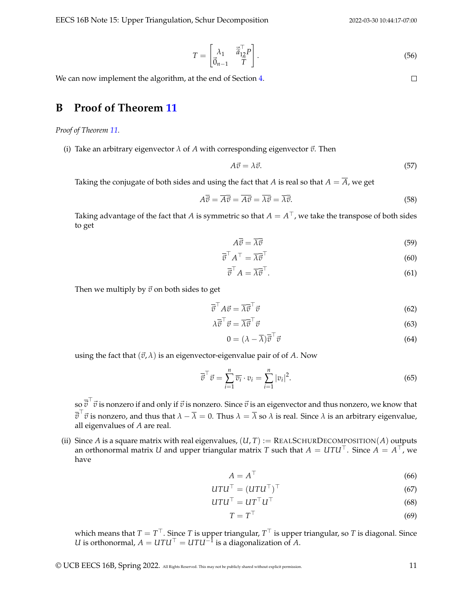EECS 16B Note 15: Upper Triangulation, Schur Decomposition 2022-03-30 10:44:17-07:00

$$
T = \begin{bmatrix} \lambda_1 & \vec{\tilde{a}}_{12}^\top P \\ \vec{0}_{n-1} & \vec{T} \end{bmatrix} . \tag{56}
$$

We can now implement the algorithm, at the end of Section [4.](#page-3-3)

#### <span id="page-10-0"></span>**B Proof of Theorem [11](#page-4-0)**

*Proof of Theorem [11.](#page-4-0)*

(i) Take an arbitrary eigenvector  $\lambda$  of  $A$  with corresponding eigenvector  $\vec{v}$ . Then

$$
A\vec{v} = \lambda \vec{v}.\tag{57}
$$

Taking the conjugate of both sides and using the fact that *A* is real so that  $A = \overline{A}$ , we get

$$
A\overline{v} = \overline{A}\overline{v} = \overline{A}\overline{v} = \overline{\lambda}\overline{v} = \overline{\lambda}\overline{v}.
$$
 (58)

Taking advantage of the fact that  $A$  is symmetric so that  $A=A^\top$ , we take the transpose of both sides to get

$$
A\overline{\vec{v}} = \overline{\lambda}\overline{\vec{v}}\tag{59}
$$

$$
\overline{\vec{v}}^{\top} A^{\top} = \overline{\lambda} \overline{\vec{v}}^{\top} \tag{60}
$$

$$
\overline{\vec{v}}^{\top} A = \overline{\lambda} \overline{\vec{v}}^{\top}.
$$
 (61)

Then we multiply by  $\vec{v}$  on both sides to get

$$
\overline{\vec{v}}^{\top} A \vec{v} = \overline{\lambda} \overline{\vec{v}}^{\top} \vec{v}
$$
 (62)

$$
\lambda \overline{\vec{v}}^{\top} \vec{v} = \overline{\lambda} \overline{\vec{v}}^{\top} \vec{v}
$$
 (63)

$$
0 = (\lambda - \overline{\lambda})\overline{\vec{v}}^{\top}\vec{v}
$$
\n(64)

using the fact that  $(\vec{v}, \lambda)$  is an eigenvector-eigenvalue pair of of A. Now

$$
\overline{\vec{v}}^{\top}\vec{v} = \sum_{i=1}^{n} \overline{v_i} \cdot v_i = \sum_{i=1}^{n} |v_i|^2.
$$
 (65)

 $\bar{s}$ o  $\bar{\vec{v}}^\top\vec{v}$  is nonzero if and only if  $\vec{v}$  is nonzero. Since  $\vec{v}$  is an eigenvector and thus nonzero, we know that  $\overline{\vec{v}}^{\top}\vec{v}$  is nonzero, and thus that  $\lambda - \overline{\lambda} = 0$ . Thus  $\lambda = \overline{\lambda}$  so  $\lambda$  is real. Since  $\lambda$  is an arbitrary eigenvalue, all eigenvalues of *A* are real.

(ii) Since *A* is a square matrix with real eigenvalues,  $(U, T) := REALSCHURDECOMPOSTION(A)$  outputs an orthonormal matrix *U* and upper triangular matrix *T* such that  $A = U T U^{\top}$ . Since  $A = A^{\top}$ , we have

$$
A = A^{\top}
$$
 (66)

$$
UTU^{\top} = (UTU^{\top})^{\top}
$$
\n(67)

$$
UTU^{\top} = UT^{\top}U^{\top}
$$
\n<sup>(68)</sup>

$$
T = T^{\top} \tag{69}
$$

which means that  $T=T^\top.$  Since  $T$  is upper triangular,  $T^\top$  is upper triangular, so  $T$  is diagonal. Since *U* is orthonormal,  $A = U T U^\top = U T U^{-1}$  is a diagonalization of *A*.

 $\Box$